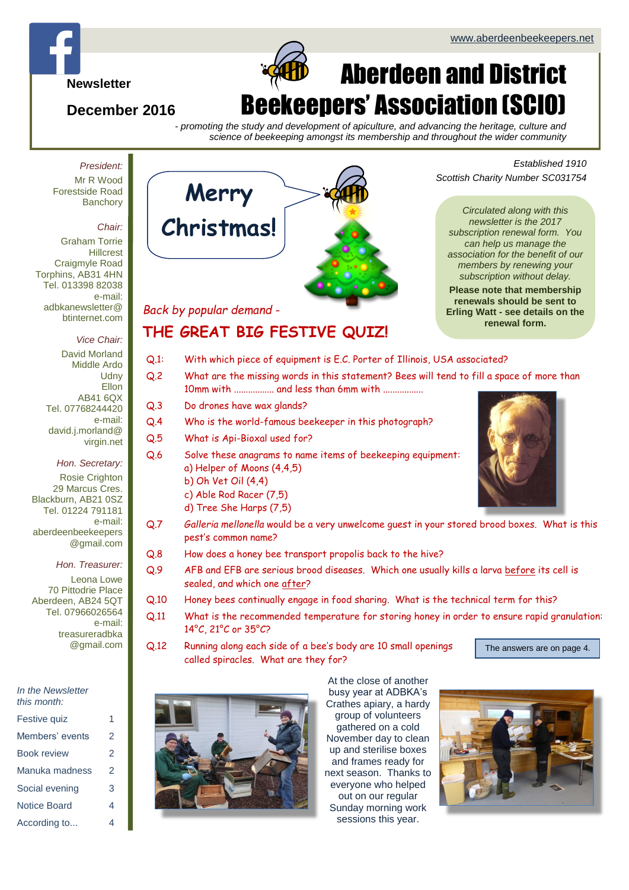*Scottish Charity Number SC031754*

*Circulated along with this newsletter is the 2017 subscription renewal form. You can help us manage the association for the benefit of our members by renewing your subscription without delay.* **Please note that membership renewals should be sent to Erling Watt - see details on the renewal form.**

*Established 1910*



# Aberdeen and District Beekeepers' Association (SCIO)

*- promoting the study and development of apiculture, and advancing the heritage, culture and science of beekeeping amongst its membership and throughout the wider community*

*President:*

**Newsletter**

**December 2016**

Mr R Wood Forestside Road **Banchory** 

#### *Chair:*

Graham Torrie **Hillcrest** Craigmyle Road Torphins, AB31 4HN Tel. 013398 82038 e-mail: adbkanewsletter@ btinternet.com

#### *Vice Chair:*

David Morland Middle Ardo **Udny** Ellon AB41 6QX Tel. 07768244420 e-mail: david.j.morland@ virgin.net

*Hon. Secretary:* Rosie Crighton 29 Marcus Cres. Blackburn, AB21 0SZ Tel. 01224 791181 e-mail: aberdeenbeekeepers @gmail.com

*Hon. Treasurer:*

Leona Lowe 70 Pittodrie Place Aberdeen, AB24 5QT Tel. 07966026564 e-mail: [treasureradbka](mailto:treasureradbka@gmail.com) [@gmail.com](mailto:treasureradbka@gmail.com)

|  | In the Newsletter |
|--|-------------------|
|  | this month:       |

| Festive quiz        |   |
|---------------------|---|
| Members' events     | 2 |
| Book review         | 2 |
| Manuka madness      | 2 |
| Social evening      | 3 |
| <b>Notice Board</b> | 4 |
| According to        | 4 |



#### *Back by popular demand* -

# **THE GREAT BIG FESTIVE QUIZ!**

- Q.1: With which piece of equipment is E.C. Porter of Illinois, USA associated?
- Q.2 What are the missing words in this statement? Bees will tend to fill a space of more than 10mm with ................. and less than 6mm with .................
- Q.3 Do drones have wax glands?
- Q.4 Who is the world-famous beekeeper in this photograph?
- Q.5 What is Api-Bioxal used for?
- Q.6 Solve these anagrams to name items of beekeeping equipment: a) Helper of Moons (4,4,5)
	- b) Oh Vet Oil (4,4)
	- c) Able Rod Racer (7,5)
	- d) Tree She Harps (7,5)
- Q.7 *Galleria mellonella* would be a very unwelcome guest in your stored brood boxes. What is this pest's common name?
- Q.8 How does a honey bee transport propolis back to the hive?
- Q.9 AFB and EFB are serious brood diseases. Which one usually kills a larva before its cell is sealed, and which one after?
- Q.10 Honey bees continually engage in food sharing. What is the technical term for this?
- Q.11 What is the recommended temperature for storing honey in order to ensure rapid granulation: 14°C, 21°C or 35°C?
- Q.12 Running along each side of a bee's body are 10 small openings called spiracles. What are they for?



The answers are on page 4.



At the close of another busy year at ADBKA's Crathes apiary, a hardy group of volunteers gathered on a cold November day to clean up and sterilise boxes and frames ready for next season. Thanks to everyone who helped out on our regular Sunday morning work sessions this year.



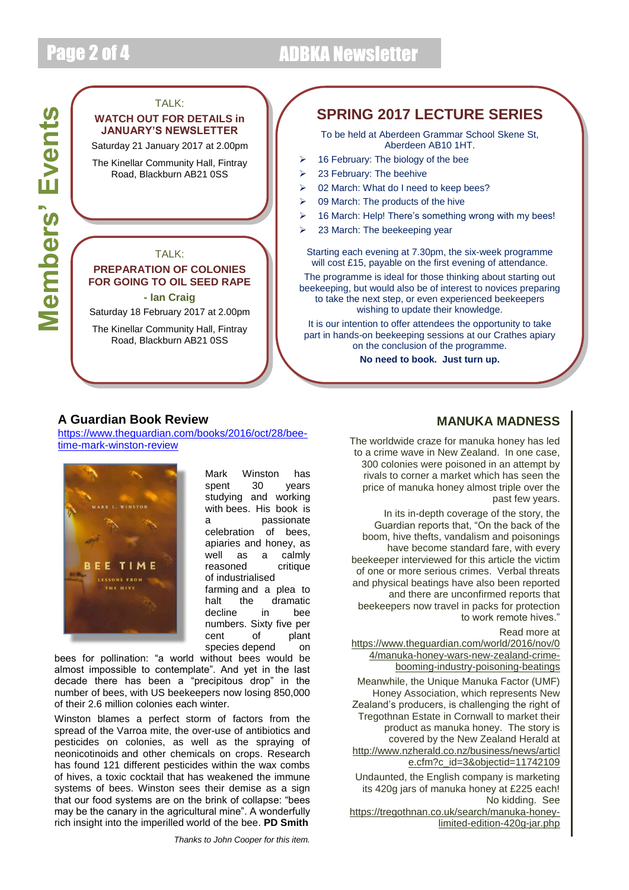# Page 2 of 4 ADBKA Newsletter

# Members' Events **Members' Events**

# TALK: **WATCH OUT FOR DETAILS in JANUARY'S NEWSLETTER** Saturday 21 January 2017 at 2.00pm The Kinellar Community Hall, Fintray Road, Blackburn AB21 0SS TALK: **PREPARATION OF COLONIES FOR GOING TO OIL SEED RAPE - Ian Craig** Saturday 18 February 2017 at 2.00pm The Kinellar Community Hall, Fintray Road, Blackburn AB21 0SS

# **SPRING 2017 LECTURE SERIES**

To be held at Aberdeen Grammar School Skene St, Aberdeen AB10 1HT.

- $\geq$  16 February: The biology of the bee
- $\geq$  23 February: The beehive
- ▶ 02 March: What do I need to keep bees?
- $\geqslant$  09 March: The products of the hive
- > 16 March: Help! There's something wrong with my bees!
- > 23 March: The beekeeping year

Starting each evening at 7.30pm, the six-week programme will cost £15, payable on the first evening of attendance.

The programme is ideal for those thinking about starting out beekeeping, but would also be of interest to novices preparing to take the next step, or even experienced beekeepers wishing to update their knowledge.

It is our intention to offer attendees the opportunity to take part in hands-on beekeeping sessions at our Crathes apiary on the conclusion of the programme.

**No need to book. Just turn up.**

#### **A Guardian Book Review**

[https://www.theguardian.com/books/2016/oct/28/bee](https://www.theguardian.com/books/2016/oct/28/bee-time-mark-winston-review)[time-mark-winston-review](https://www.theguardian.com/books/2016/oct/28/bee-time-mark-winston-review)



Mark Winston has spent 30 years studying and working with bees. His book is a passionate celebration of bees, apiaries and honey, as well as a calmly reasoned critique of industrialised farming and a plea to halt the dramatic<br>decline in bee decline in bee numbers. Sixty five per cent of plant species depend on

bees for pollination: "a world without bees would be almost impossible to contemplate". And yet in the last decade there has been a "precipitous drop" in the number of bees, with US beekeepers now losing 850,000 of their 2.6 million colonies each winter.

Winston blames a perfect storm of factors from the spread of the Varroa mite, the over-use of antibiotics and pesticides on colonies, as well as the spraying of neonicotinoids and other chemicals on crops. Research has found 121 different pesticides within the wax combs of hives, a toxic cocktail that has weakened the immune systems of bees. Winston sees their demise as a sign that our food systems are on the brink of collapse: "bees may be the canary in the agricultural mine". A wonderfully rich insight into the imperilled world of the bee. **PD Smith**

## **MANUKA MADNESS**

The worldwide craze for manuka honey has led to a crime wave in New Zealand. In one case, 300 colonies were poisoned in an attempt by rivals to corner a market which has seen the price of manuka honey almost triple over the past few years.

In its in-depth coverage of the story, the Guardian reports that, "On the back of the boom, hive thefts, vandalism and poisonings have become standard fare, with every beekeeper interviewed for this article the victim of one or more serious crimes. Verbal threats and physical beatings have also been reported and there are unconfirmed reports that beekeepers now travel in packs for protection to work remote hives."

Read more at

[https://www.theguardian.com/world/2016/nov/0](https://www.theguardian.com/world/2016/nov/04/manuka-honey-wars-new-zealand-crime-booming-industry-poisoning-beatings) [4/manuka-honey-wars-new-zealand-crime](https://www.theguardian.com/world/2016/nov/04/manuka-honey-wars-new-zealand-crime-booming-industry-poisoning-beatings)[booming-industry-poisoning-beatings](https://www.theguardian.com/world/2016/nov/04/manuka-honey-wars-new-zealand-crime-booming-industry-poisoning-beatings)

Meanwhile, the Unique Manuka Factor (UMF) Honey Association, which represents New Zealand's producers, is challenging the right of Tregothnan Estate in Cornwall to market their product as manuka honey. The story is covered by the New Zealand Herald at [http://www.nzherald.co.nz/business/news/articl](http://www.nzherald.co.nz/business/news/article.cfm?c_id=3&objectid=11742109) [e.cfm?c\\_id=3&objectid=11742109](http://www.nzherald.co.nz/business/news/article.cfm?c_id=3&objectid=11742109)

Undaunted, the English company is marketing its 420g jars of manuka honey at £225 each! No kidding. See

[https://tregothnan.co.uk/search/manuka-honey](https://tregothnan.co.uk/search/manuka-honey-limited-edition-420g-jar.php)[limited-edition-420g-jar.php](https://tregothnan.co.uk/search/manuka-honey-limited-edition-420g-jar.php)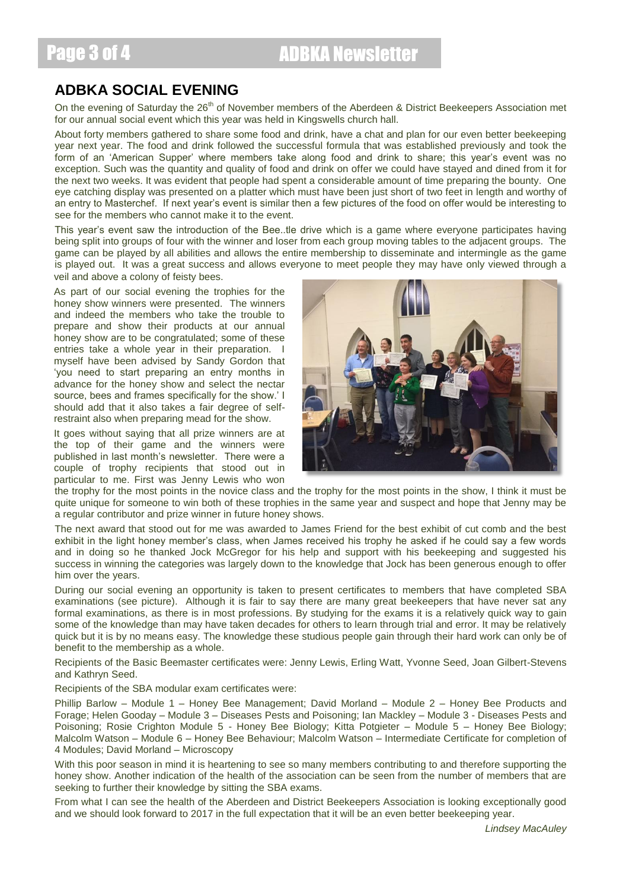## **ADBKA SOCIAL EVENING**

On the evening of Saturday the 26<sup>th</sup> of November members of the Aberdeen & District Beekeepers Association met for our annual social event which this year was held in Kingswells church hall.

About forty members gathered to share some food and drink, have a chat and plan for our even better beekeeping year next year. The food and drink followed the successful formula that was established previously and took the form of an 'American Supper' where members take along food and drink to share; this year's event was no exception. Such was the quantity and quality of food and drink on offer we could have stayed and dined from it for the next two weeks. It was evident that people had spent a considerable amount of time preparing the bounty. One eye catching display was presented on a platter which must have been just short of two feet in length and worthy of an entry to Masterchef. If next year's event is similar then a few pictures of the food on offer would be interesting to see for the members who cannot make it to the event.

This year's event saw the introduction of the Bee..tle drive which is a game where everyone participates having being split into groups of four with the winner and loser from each group moving tables to the adjacent groups. The game can be played by all abilities and allows the entire membership to disseminate and intermingle as the game is played out. It was a great success and allows everyone to meet people they may have only viewed through a veil and above a colony of feisty bees.

As part of our social evening the trophies for the honey show winners were presented. The winners and indeed the members who take the trouble to prepare and show their products at our annual honey show are to be congratulated; some of these entries take a whole year in their preparation. I myself have been advised by Sandy Gordon that 'you need to start preparing an entry months in advance for the honey show and select the nectar source, bees and frames specifically for the show.' I should add that it also takes a fair degree of selfrestraint also when preparing mead for the show.

It goes without saying that all prize winners are at the top of their game and the winners were published in last month's newsletter. There were a couple of trophy recipients that stood out in particular to me. First was Jenny Lewis who won



the trophy for the most points in the novice class and the trophy for the most points in the show, I think it must be quite unique for someone to win both of these trophies in the same year and suspect and hope that Jenny may be a regular contributor and prize winner in future honey shows.

The next award that stood out for me was awarded to James Friend for the best exhibit of cut comb and the best exhibit in the light honey member's class, when James received his trophy he asked if he could say a few words and in doing so he thanked Jock McGregor for his help and support with his beekeeping and suggested his success in winning the categories was largely down to the knowledge that Jock has been generous enough to offer him over the years.

During our social evening an opportunity is taken to present certificates to members that have completed SBA examinations (see picture). Although it is fair to say there are many great beekeepers that have never sat any formal examinations, as there is in most professions. By studying for the exams it is a relatively quick way to gain some of the knowledge than may have taken decades for others to learn through trial and error. It may be relatively quick but it is by no means easy. The knowledge these studious people gain through their hard work can only be of benefit to the membership as a whole.

Recipients of the Basic Beemaster certificates were: Jenny Lewis, Erling Watt, Yvonne Seed, Joan Gilbert-Stevens and Kathryn Seed.

Recipients of the SBA modular exam certificates were:

Phillip Barlow – Module 1 – Honey Bee Management; David Morland – Module 2 – Honey Bee Products and Forage; Helen Gooday – Module 3 – Diseases Pests and Poisoning; Ian Mackley – Module 3 - Diseases Pests and Poisoning; Rosie Crighton Module 5 - Honey Bee Biology; Kitta Potgieter – Module 5 – Honey Bee Biology; Malcolm Watson – Module 6 – Honey Bee Behaviour; Malcolm Watson – Intermediate Certificate for completion of 4 Modules; David Morland – Microscopy

With this poor season in mind it is heartening to see so many members contributing to and therefore supporting the honey show. Another indication of the health of the association can be seen from the number of members that are seeking to further their knowledge by sitting the SBA exams.

From what I can see the health of the Aberdeen and District Beekeepers Association is looking exceptionally good and we should look forward to 2017 in the full expectation that it will be an even better beekeeping year.